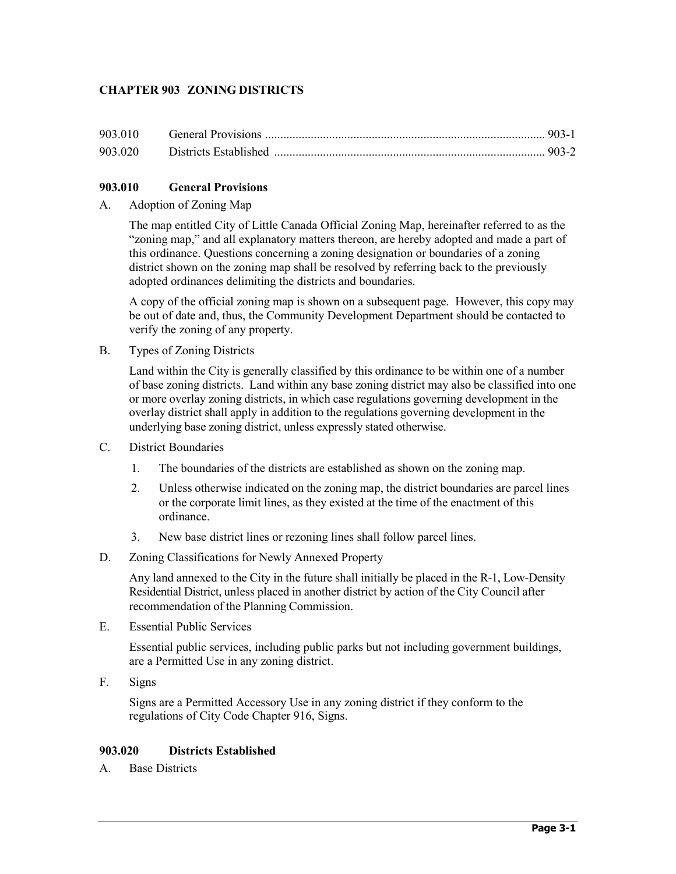# **CHAPTER 903 ZONING DISTRICTS**

## **903.010 General Provisions**

### A. Adoption of Zoning Map

The map entitled City of Little Canada Official Zoning Map, hereinafter referred to as the "zoning map," and all explanatory matters thereon, are hereby adopted and made a part of this ordinance. Questions concerning a zoning designation or boundaries of a zoning district shown on the zoning map shall be resolved by referring back to the previously adopted ordinances delimiting the districts and boundaries.

A copy of the official zoning map is shown on a subsequent page. However, this copy may be out of date and, thus, the Community Development Department should be contacted to verify the zoning of any property.

B. Types of Zoning Districts

Land within the City is generally classified by this ordinance to be within one of a number of base zoning districts. Land within any base zoning district may also be classified into one or more overlay zoning districts, in which case regulations governing development in the overlay district shall apply in addition to the regulations governing development in the underlying base zoning district, unless expressly stated otherwise.

- C. District Boundaries
	- 1. The boundaries of the districts are established as shown on the zoning map.
	- 2. Unless otherwise indicated on the zoning map, the district boundaries are parcel lines or the corporate limit lines, as they existed at the time of the enactment of this ordinance.
	- 3. New base district lines or rezoning lines shall follow parcel lines.
- D. Zoning Classifications for Newly Annexed Property

Any land annexed to the City in the future shall initially be placed in the R-1, Low-Density Residential District, unless placed in another district by action of the City Council after recommendation of the Planning Commission.

E. Essential Public Services

Essential public services, including public parks but not including government buildings, are a Permitted Use in any zoning district.

F. Signs

Signs are a Permitted Accessory Use in any zoning district if they conform to the regulations of City Code Chapter 916, Signs.

#### **903.020 Districts Established**

A. Base Districts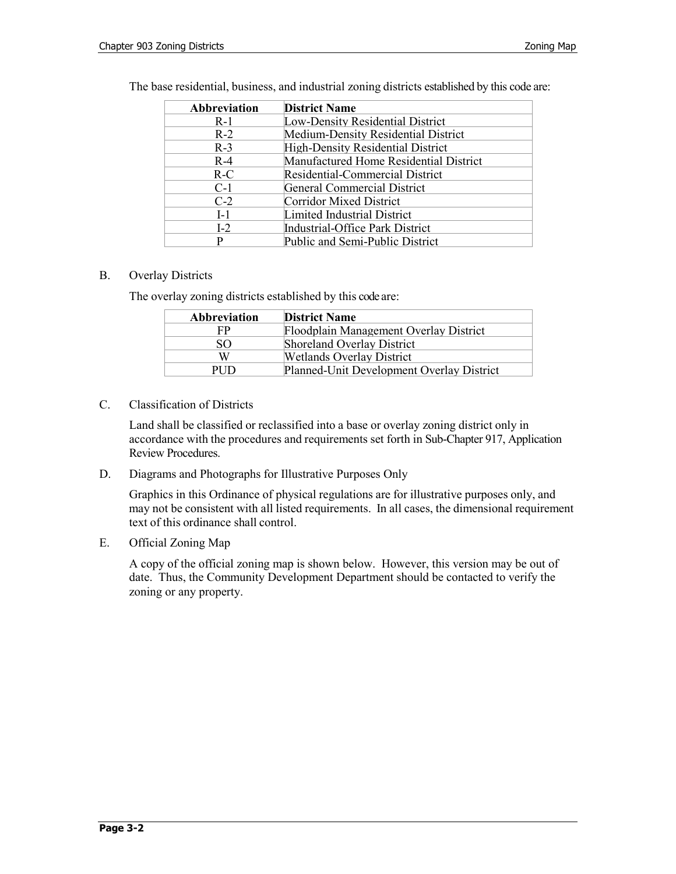| Abbreviation | <b>District Name</b>                     |
|--------------|------------------------------------------|
| $R-1$        | Low-Density Residential District         |
| $R-2$        | Medium-Density Residential District      |
| $R-3$        | <b>High-Density Residential District</b> |
| $R-4$        | Manufactured Home Residential District   |
| $R-C$        | Residential-Commercial District          |
| $C-1$        | General Commercial District              |
| $C-2$        | Corridor Mixed District                  |
| $I-1$        | Limited Industrial District              |
| $I-2$        | Industrial-Office Park District          |
| D            | Public and Semi-Public District          |

The base residential, business, and industrial zoning districts established by this code are:

### B. Overlay Districts

The overlay zoning districts established by this code are:

| <b>Abbreviation</b> | <b>District Name</b>                      |
|---------------------|-------------------------------------------|
| FP                  | Floodplain Management Overlay District    |
| SO.                 | Shoreland Overlay District                |
| W                   | <b>Wetlands Overlay District</b>          |
| PHD                 | Planned-Unit Development Overlay District |

C. Classification of Districts

Land shall be classified or reclassified into a base or overlay zoning district only in accordance with the procedures and requirements set forth in Sub-Chapter 917, Application Review Procedures.

D. Diagrams and Photographs for Illustrative Purposes Only

Graphics in this Ordinance of physical regulations are for illustrative purposes only, and may not be consistent with all listed requirements. In all cases, the dimensional requirement text of this ordinance shall control.

E. Official Zoning Map

A copy of the official zoning map is shown below. However, this version may be out of date. Thus, the Community Development Department should be contacted to verify the zoning or any property.